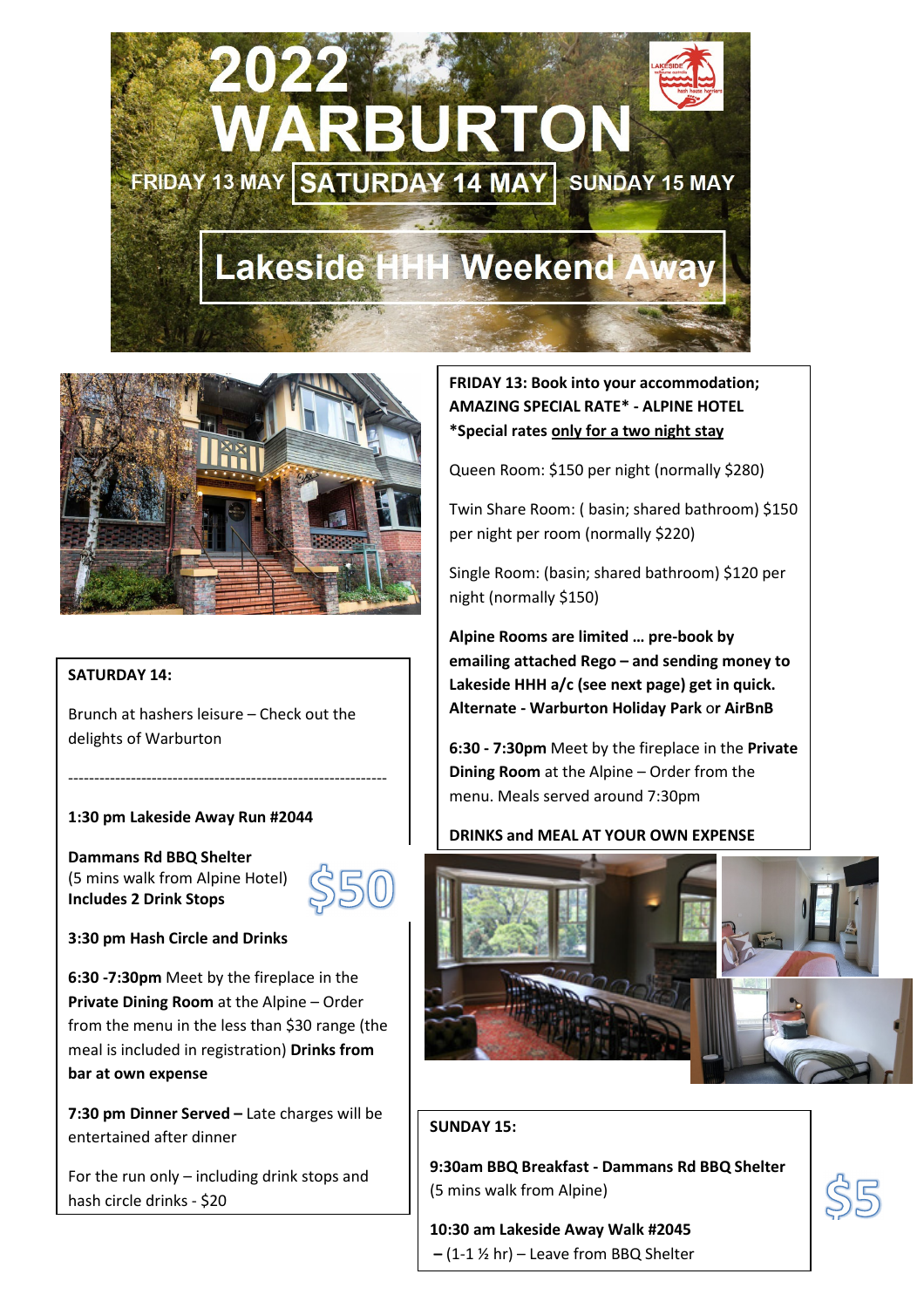



### **SATURDAY 14:**

Brunch at hashers leisure – Check out the delights of Warburton

-------------------------------------------------------------

### **1:30 pm Lakeside Away Run #2044**

**Dammans Rd BBQ Shelter**  (5 mins walk from Alpine Hotel) **Includes 2 Drink Stops** 



### **3:30 pm Hash Circle and Drinks**

**6:30 -7:30pm** Meet by the fireplace in the **Private Dining Room** at the Alpine – Order from the menu in the less than \$30 range (the meal is included in registration) **Drinks from bar at own expense** 

**7:30 pm Dinner Served –** Late charges will be entertained after dinner

For the run only – including drink stops and hash circle drinks - \$20

**FRIDAY 13: Book into your accommodation; AMAZING SPECIAL RATE\* - ALPINE HOTEL \*Special rates only for a two night stay** 

Queen Room: \$150 per night (normally \$280)

Twin Share Room: ( basin; shared bathroom) \$150 per night per room (normally \$220)

Single Room: (basin; shared bathroom) \$120 per night (normally \$150)

**Alpine Rooms are limited … pre-book by emailing attached Rego – and sending money to Lakeside HHH a/c (see next page) get in quick. Alternate - Warburton Holiday Park** o**r AirBnB** 

**6:30 - 7:30pm** Meet by the fireplace in the **Private Dining Room** at the Alpine – Order from the menu. Meals served around 7:30pm

### **DRINKS and MEAL AT YOUR OWN EXPENSE**



### **SUNDAY 15:**

**9:30am BBQ Breakfast - Dammans Rd BBQ Shelter**  (5 mins walk from Alpine)

**10:30 am Lakeside Away Walk #2045 –** (1-1 ½ hr) – Leave from BBQ Shelter